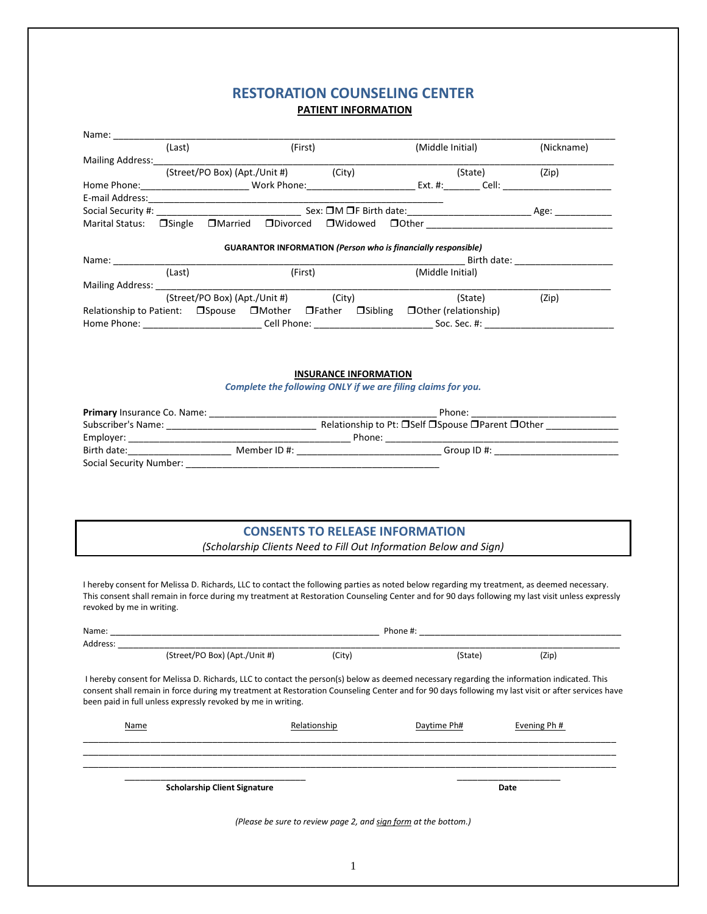## RESTORATION COUNSELING CENTER PATIENT INFORMATION

|                                                                                                                                                                                                                                | (Last) | (First) |         | (Middle Initial)                                                     |  |                  | (Nickname) |       |  |
|--------------------------------------------------------------------------------------------------------------------------------------------------------------------------------------------------------------------------------|--------|---------|---------|----------------------------------------------------------------------|--|------------------|------------|-------|--|
| Mailing Address: Note that the mail of the mail of the mail of the mail of the mail of the mail of the mail of the mail of the mail of the mail of the mail of the mail of the mail of the mail of the mail of the mail of the |        |         |         |                                                                      |  |                  |            |       |  |
|                                                                                                                                                                                                                                |        |         |         | (Street/PO Box) (Apt./Unit #) (City)                                 |  |                  | (State)    | (Zip) |  |
|                                                                                                                                                                                                                                |        |         |         |                                                                      |  |                  |            |       |  |
|                                                                                                                                                                                                                                |        |         |         |                                                                      |  |                  |            |       |  |
|                                                                                                                                                                                                                                |        |         |         |                                                                      |  |                  |            |       |  |
|                                                                                                                                                                                                                                |        |         |         |                                                                      |  |                  |            |       |  |
|                                                                                                                                                                                                                                |        |         |         |                                                                      |  |                  |            |       |  |
|                                                                                                                                                                                                                                |        |         |         | <b>GUARANTOR INFORMATION (Person who is financially responsible)</b> |  |                  |            |       |  |
| Name: Name                                                                                                                                                                                                                     | (Last) |         | (First) |                                                                      |  | (Middle Initial) |            |       |  |
|                                                                                                                                                                                                                                |        |         |         |                                                                      |  |                  |            |       |  |
|                                                                                                                                                                                                                                |        |         |         | (Street/PO Box) (Apt./Unit #) (City)                                 |  |                  | (State)    | (Zip) |  |
| Relationship to Patient: $\Box$ Spouse $\Box$ Mother $\Box$ Father $\Box$ Sibling $\Box$ Other (relationship)                                                                                                                  |        |         |         |                                                                      |  |                  |            |       |  |
|                                                                                                                                                                                                                                |        |         |         |                                                                      |  |                  |            |       |  |
|                                                                                                                                                                                                                                |        |         |         |                                                                      |  |                  |            |       |  |
|                                                                                                                                                                                                                                |        |         |         |                                                                      |  |                  |            |       |  |
|                                                                                                                                                                                                                                |        |         |         |                                                                      |  |                  |            |       |  |
|                                                                                                                                                                                                                                |        |         |         | <b>INSURANCE INFORMATION</b>                                         |  |                  |            |       |  |
|                                                                                                                                                                                                                                |        |         |         | Complete the following ONLY if we are filing claims for you.         |  |                  |            |       |  |
|                                                                                                                                                                                                                                |        |         |         |                                                                      |  |                  |            |       |  |
|                                                                                                                                                                                                                                |        |         |         |                                                                      |  |                  |            |       |  |
|                                                                                                                                                                                                                                |        |         |         |                                                                      |  |                  |            |       |  |
|                                                                                                                                                                                                                                |        |         |         |                                                                      |  |                  |            |       |  |
|                                                                                                                                                                                                                                |        |         |         |                                                                      |  |                  |            |       |  |
| Social Security Number: National Contract of Contract Contract of Contract Contract Contract Oriental Contract Contract Oriental Contract Oriental Contract Oriental Contract Oriental Contract Oriental Contract Oriental Con |        |         |         |                                                                      |  |                  |            |       |  |

# CONSENTS TO RELEASE INFORMATION

(Scholarship Clients Need to Fill Out Information Below and Sign)

I hereby consent for Melissa D. Richards, LLC to contact the following parties as noted below regarding my treatment, as deemed necessary. This consent shall remain in force during my treatment at Restoration Counseling Center and for 90 days following my last visit unless expressly revoked by me in writing.

| Name:    | Phone #:                                                                                                                                                                                                                                                                                                                                                        |                                                                 |             |                         |  |  |  |
|----------|-----------------------------------------------------------------------------------------------------------------------------------------------------------------------------------------------------------------------------------------------------------------------------------------------------------------------------------------------------------------|-----------------------------------------------------------------|-------------|-------------------------|--|--|--|
| Address: |                                                                                                                                                                                                                                                                                                                                                                 |                                                                 |             |                         |  |  |  |
|          | (Street/PO Box) (Apt./Unit #)                                                                                                                                                                                                                                                                                                                                   | (City)                                                          | (State)     | (Zip)                   |  |  |  |
|          | I hereby consent for Melissa D. Richards, LLC to contact the person(s) below as deemed necessary regarding the information indicated. This<br>consent shall remain in force during my treatment at Restoration Counseling Center and for 90 days following my last visit or after services have<br>been paid in full unless expressly revoked by me in writing. |                                                                 |             |                         |  |  |  |
| Name     |                                                                                                                                                                                                                                                                                                                                                                 | Relationship                                                    | Daytime Ph# | Evening Ph <sup>#</sup> |  |  |  |
|          | <b>Scholarship Client Signature</b>                                                                                                                                                                                                                                                                                                                             |                                                                 | Date        |                         |  |  |  |
|          |                                                                                                                                                                                                                                                                                                                                                                 | (Please be sure to review page 2, and sign form at the bottom.) |             |                         |  |  |  |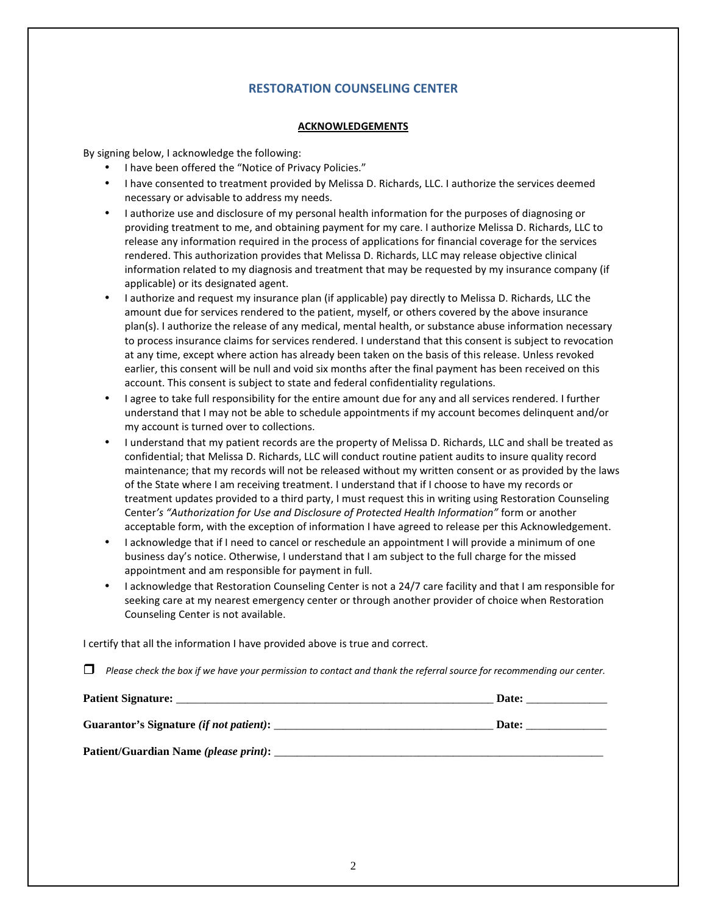## RESTORATION COUNSELING CENTER

#### **ACKNOWLEDGEMENTS**

By signing below, I acknowledge the following:

- I have been offered the "Notice of Privacy Policies."
- I have consented to treatment provided by Melissa D. Richards, LLC. I authorize the services deemed necessary or advisable to address my needs.
- I authorize use and disclosure of my personal health information for the purposes of diagnosing or providing treatment to me, and obtaining payment for my care. I authorize Melissa D. Richards, LLC to release any information required in the process of applications for financial coverage for the services rendered. This authorization provides that Melissa D. Richards, LLC may release objective clinical information related to my diagnosis and treatment that may be requested by my insurance company (if applicable) or its designated agent.
- I authorize and request my insurance plan (if applicable) pay directly to Melissa D. Richards, LLC the amount due for services rendered to the patient, myself, or others covered by the above insurance plan(s). I authorize the release of any medical, mental health, or substance abuse information necessary to process insurance claims for services rendered. I understand that this consent is subject to revocation at any time, except where action has already been taken on the basis of this release. Unless revoked earlier, this consent will be null and void six months after the final payment has been received on this account. This consent is subject to state and federal confidentiality regulations.
- I agree to take full responsibility for the entire amount due for any and all services rendered. I further understand that I may not be able to schedule appointments if my account becomes delinquent and/or my account is turned over to collections.
- I understand that my patient records are the property of Melissa D. Richards, LLC and shall be treated as confidential; that Melissa D. Richards, LLC will conduct routine patient audits to insure quality record maintenance; that my records will not be released without my written consent or as provided by the laws of the State where I am receiving treatment. I understand that if I choose to have my records or treatment updates provided to a third party, I must request this in writing using Restoration Counseling Center's "Authorization for Use and Disclosure of Protected Health Information" form or another acceptable form, with the exception of information I have agreed to release per this Acknowledgement.
- I acknowledge that if I need to cancel or reschedule an appointment I will provide a minimum of one business day's notice. Otherwise, I understand that I am subject to the full charge for the missed appointment and am responsible for payment in full.
- I acknowledge that Restoration Counseling Center is not a 24/7 care facility and that I am responsible for seeking care at my nearest emergency center or through another provider of choice when Restoration Counseling Center is not available.

I certify that all the information I have provided above is true and correct.

 $\Box$  Please check the box if we have your permission to contact and thank the referral source for recommending our center.

| <b>Patient Signature:</b>                       | Date: |
|-------------------------------------------------|-------|
| Guarantor's Signature <i>(if not patient)</i> : | Date: |
| Patient/Guardian Name (please print):           |       |